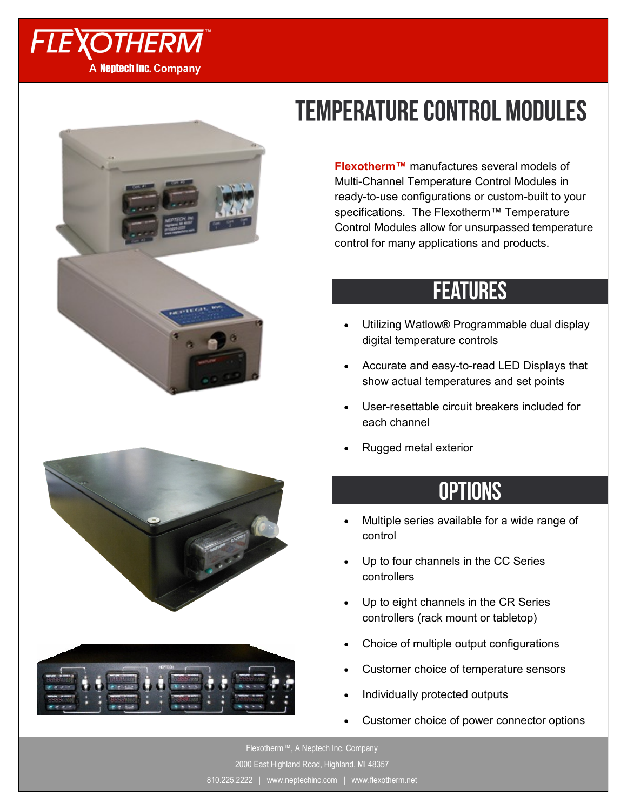







## **TEMPERATURE CONTROL MODULES**

**Flexotherm™** manufactures several models of Multi-Channel Temperature Control Modules in ready-to-use configurations or custom-built to your specifications. The Flexotherm™ Temperature Control Modules allow for unsurpassed temperature control for many applications and products.

## **FEATURES**

- Utilizing Watlow® Programmable dual display digital temperature controls
- Accurate and easy-to-read LED Displays that show actual temperatures and set points
- User-resettable circuit breakers included for each channel
- Rugged metal exterior

## **OPTIONS**

- Multiple series available for a wide range of control
- Up to four channels in the CC Series controllers
- Up to eight channels in the CR Series controllers (rack mount or tabletop)
- Choice of multiple output configurations
- Customer choice of temperature sensors
- Individually protected outputs
- Customer choice of power connector options

Flexotherm™, A Neptech Inc. Company 2000 East Highland Road, Highland, MI 48357 810.225.2222 | www.neptechinc.com | www.flexotherm.net